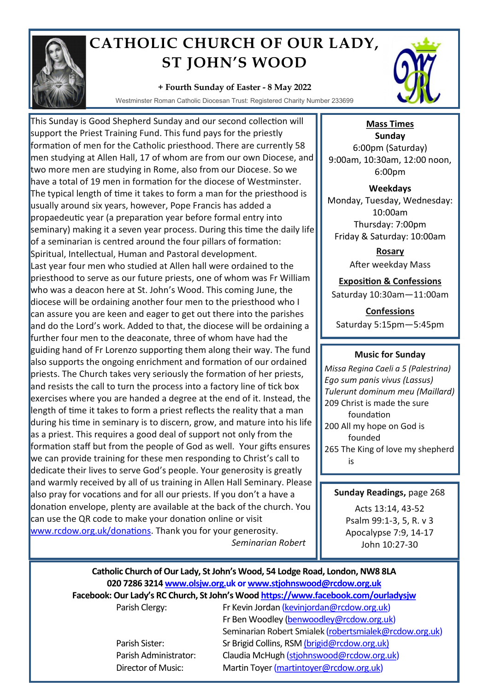

# **CATHOLIC CHURCH OF OUR LADY, ST JOHN'S WOOD**

### **+ Fourth Sunday of Easter - 8 May 2022**

Westminster Roman Catholic Diocesan Trust: Registered Charity Number 233699

This Sunday is Good Shepherd Sunday and our second collection will support the Priest Training Fund. This fund pays for the priestly formation of men for the Catholic priesthood. There are currently 58 men studying at Allen Hall, 17 of whom are from our own Diocese, and two more men are studying in Rome, also from our Diocese. So we have a total of 19 men in formation for the diocese of Westminster. The typical length of time it takes to form a man for the priesthood is usually around six years, however, Pope Francis has added a propaedeutic year (a preparation year before formal entry into seminary) making it a seven year process. During this time the daily life of a seminarian is centred around the four pillars of formation: Spiritual, Intellectual, Human and Pastoral development. Last year four men who studied at Allen hall were ordained to the priesthood to serve as our future priests, one of whom was Fr William who was a deacon here at St. John's Wood. This coming June, the diocese will be ordaining another four men to the priesthood who I can assure you are keen and eager to get out there into the parishes and do the Lord's work. Added to that, the diocese will be ordaining a further four men to the deaconate, three of whom have had the guiding hand of Fr Lorenzo supporting them along their way. The fund also supports the ongoing enrichment and formation of our ordained priests. The Church takes very seriously the formation of her priests, and resists the call to turn the process into a factory line of tick box exercises where you are handed a degree at the end of it. Instead, the length of time it takes to form a priest reflects the reality that a man during his time in seminary is to discern, grow, and mature into his life as a priest. This requires a good deal of support not only from the formation staff but from the people of God as well. Your gifts ensures we can provide training for these men responding to Christ's call to dedicate their lives to serve God's people. Your generosity is greatly and warmly received by all of us training in Allen Hall Seminary. Please also pray for vocations and for all our priests. If you don't a have a donation envelope, plenty are available at the back of the church. You can use the QR code to make your donation online or visit www.rcdow.org.uk/donations. Thank you for your generosity.

*Seminarian Robert* 



**Mass Times Sunday** 6:00pm (Saturday) 9:00am, 10:30am, 12:00 noon, 6:00pm

**Weekdays** Monday, Tuesday, Wednesday: 10:00am Thursday: 7:00pm Friday & Saturday: 10:00am

> **Rosary** After weekday Mass

# **Exposition & Confessions**

Saturday 10:30am—11:00am

**Confessions**  Saturday 5:15pm—5:45pm

# **Music for Sunday**

*Missa Regina Caeli a 5 (Palestrina) Ego sum panis vivus (Lassus) Tulerunt dominum meu (Maillard)* 209 Christ is made the sure foundation 200 All my hope on God is founded 265 The King of love my shepherd is

### **Sunday Readings,** page 268

Acts 13:14, 43-52 Psalm 99:1-3, 5, R. v 3 Apocalypse 7:9, 14-17 John 10:27-30

# **Catholic Church of Our Lady, St John's Wood, 54 Lodge Road, London, NW8 8LA 020 7286 3214 www.olsjw.org.uk or www.stjohnswood@rcdow.org.uk Facebook: Our Lady's RC Church, St John's Wood https://www.facebook.com/ourladysjw** Parish Clergy: Fr Kevin Jordan (kevinjordan@rcdow.org.uk)

Fr Ben Woodley (benwoodley@rcdow.org.uk) Seminarian Robert Smialek (robertsmialek@rcdow.org.uk) Parish Sister: Sr Brigid Collins, RSM (brigid@rcdow.org.uk) Parish Administrator: Claudia McHugh (stjohnswood@rcdow.org.uk) Director of Music: Martin Toyer (martintoyer@rcdow.org.uk)